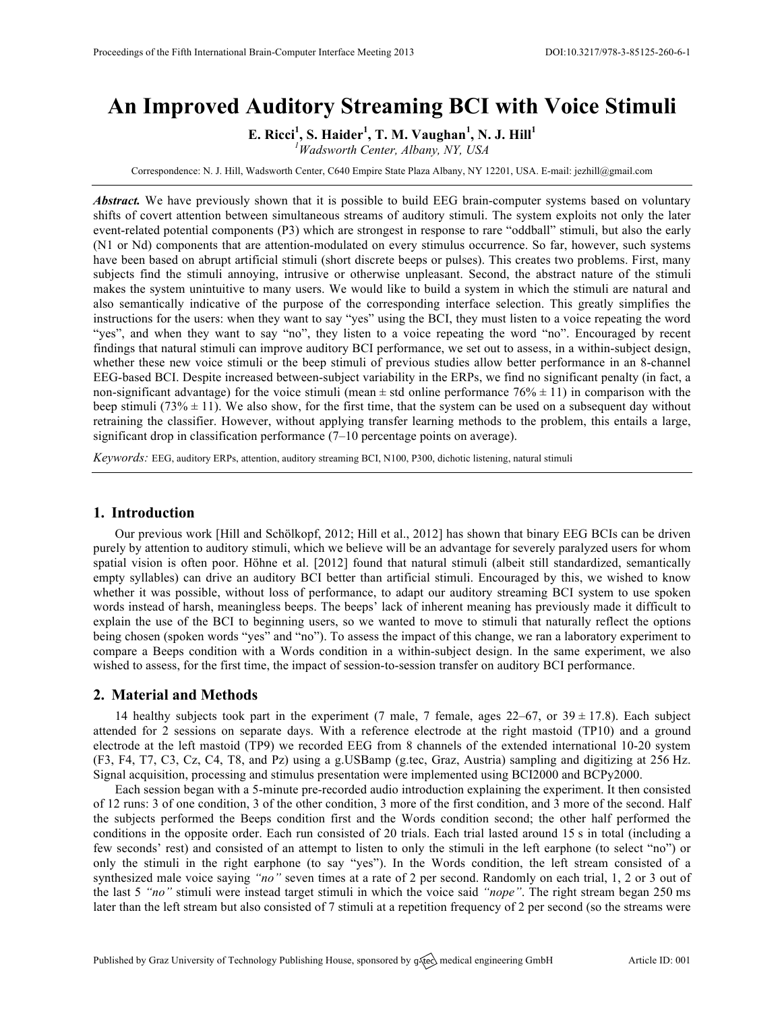# **An Improved Auditory Streaming BCI with Voice Stimuli**

**E. Ricci<sup>1</sup> , S. Haider<sup>1</sup> , T. M. Vaughan<sup>1</sup> , N. J. Hill<sup>1</sup>**

*1 Wadsworth Center, Albany, NY, USA*

Correspondence: N. J. Hill, Wadsworth Center, C640 Empire State Plaza Albany, NY 12201, USA. E-mail: jezhill@gmail.com

*Abstract.* We have previously shown that it is possible to build EEG brain-computer systems based on voluntary shifts of covert attention between simultaneous streams of auditory stimuli. The system exploits not only the later event-related potential components (P3) which are strongest in response to rare "oddball" stimuli, but also the early (N1 or Nd) components that are attention-modulated on every stimulus occurrence. So far, however, such systems have been based on abrupt artificial stimuli (short discrete beeps or pulses). This creates two problems. First, many subjects find the stimuli annoying, intrusive or otherwise unpleasant. Second, the abstract nature of the stimuli makes the system unintuitive to many users. We would like to build a system in which the stimuli are natural and also semantically indicative of the purpose of the corresponding interface selection. This greatly simplifies the instructions for the users: when they want to say "yes" using the BCI, they must listen to a voice repeating the word "yes", and when they want to say "no", they listen to a voice repeating the word "no". Encouraged by recent findings that natural stimuli can improve auditory BCI performance, we set out to assess, in a within-subject design, whether these new voice stimuli or the beep stimuli of previous studies allow better performance in an 8-channel EEG-based BCI. Despite increased between-subject variability in the ERPs, we find no significant penalty (in fact, a non-significant advantage) for the voice stimuli (mean  $\pm$  std online performance 76%  $\pm$  11) in comparison with the beep stimuli (73%  $\pm$  11). We also show, for the first time, that the system can be used on a subsequent day without retraining the classifier. However, without applying transfer learning methods to the problem, this entails a large, significant drop in classification performance (7–10 percentage points on average).

*Keywords:* EEG, auditory ERPs, attention, auditory streaming BCI, N100, P300, dichotic listening, natural stimuli

# **1. Introduction**

Our previous work [Hill and Schölkopf, 2012; Hill et al., 2012] has shown that binary EEG BCIs can be driven purely by attention to auditory stimuli, which we believe will be an advantage for severely paralyzed users for whom spatial vision is often poor. Höhne et al. [2012] found that natural stimuli (albeit still standardized, semantically empty syllables) can drive an auditory BCI better than artificial stimuli. Encouraged by this, we wished to know whether it was possible, without loss of performance, to adapt our auditory streaming BCI system to use spoken words instead of harsh, meaningless beeps. The beeps' lack of inherent meaning has previously made it difficult to explain the use of the BCI to beginning users, so we wanted to move to stimuli that naturally reflect the options being chosen (spoken words "yes" and "no"). To assess the impact of this change, we ran a laboratory experiment to compare a Beeps condition with a Words condition in a within-subject design. In the same experiment, we also wished to assess, for the first time, the impact of session-to-session transfer on auditory BCI performance.

# **2. Material and Methods**

14 healthy subjects took part in the experiment (7 male, 7 female, ages  $22-67$ , or  $39 \pm 17.8$ ). Each subject attended for 2 sessions on separate days. With a reference electrode at the right mastoid (TP10) and a ground electrode at the left mastoid (TP9) we recorded EEG from 8 channels of the extended international 10-20 system (F3, F4, T7, C3, Cz, C4, T8, and Pz) using a g.USBamp (g.tec, Graz, Austria) sampling and digitizing at 256 Hz. Signal acquisition, processing and stimulus presentation were implemented using BCI2000 and BCPy2000.

Each session began with a 5-minute pre-recorded audio introduction explaining the experiment. It then consisted of 12 runs: 3 of one condition, 3 of the other condition, 3 more of the first condition, and 3 more of the second. Half the subjects performed the Beeps condition first and the Words condition second; the other half performed the conditions in the opposite order. Each run consisted of 20 trials. Each trial lasted around 15 s in total (including a few seconds' rest) and consisted of an attempt to listen to only the stimuli in the left earphone (to select "no") or only the stimuli in the right earphone (to say "yes"). In the Words condition, the left stream consisted of a synthesized male voice saying *"no"* seven times at a rate of 2 per second. Randomly on each trial, 1, 2 or 3 out of the last 5 *"no"* stimuli were instead target stimuli in which the voice said *"nope"*. The right stream began 250 ms later than the left stream but also consisted of 7 stimuli at a repetition frequency of 2 per second (so the streams were